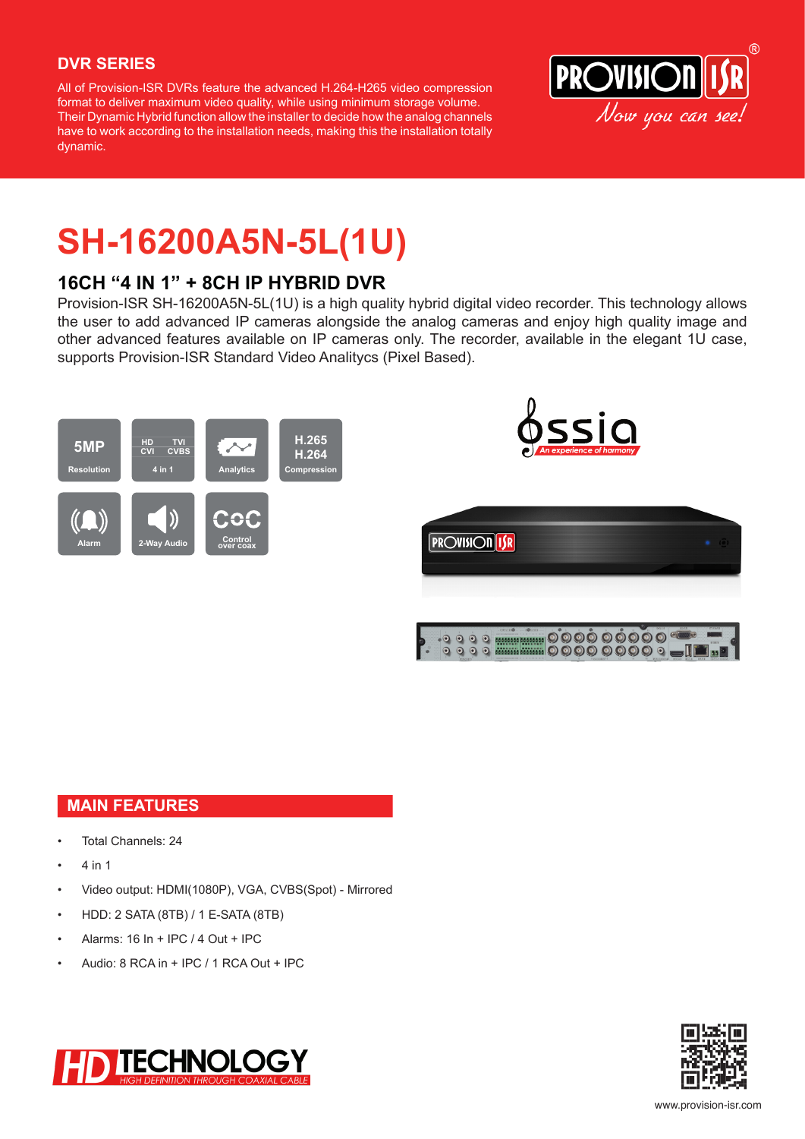### **DVR SERIES**

All of Provision-ISR DVRs feature the advanced H.264-H265 video compression format to deliver maximum video quality, while using minimum storage volume. Their Dynamic Hybrid function allow the installer to decide how the analog channels have to work according to the installation needs, making this the installation totally dynamic.



### **SH-16200A5N-5L(1U)**

### **16CH "4 IN 1" + 8CH IP HYBRID DVR**

Provision-ISR SH-16200A5N-5L(1U) is a high quality hybrid digital video recorder. This technology allows the user to add advanced IP cameras alongside the analog cameras and enjoy high quality image and other advanced features available on IP cameras only. The recorder, available in the elegant 1U case, supports Provision-ISR Standard Video Analitycs (Pixel Based).



### **MAIN FEATURES**

- Total Channels: 24
- 4 in 1
- Video output: HDMI(1080P), VGA, CVBS(Spot) Mirrored
- HDD: 2 SATA (8TB) / 1 E-SATA (8TB)
- Alarms: 16 In + IPC / 4 Out + IPC
- Audio: 8 RCA in + IPC / 1 RCA Out + IPC



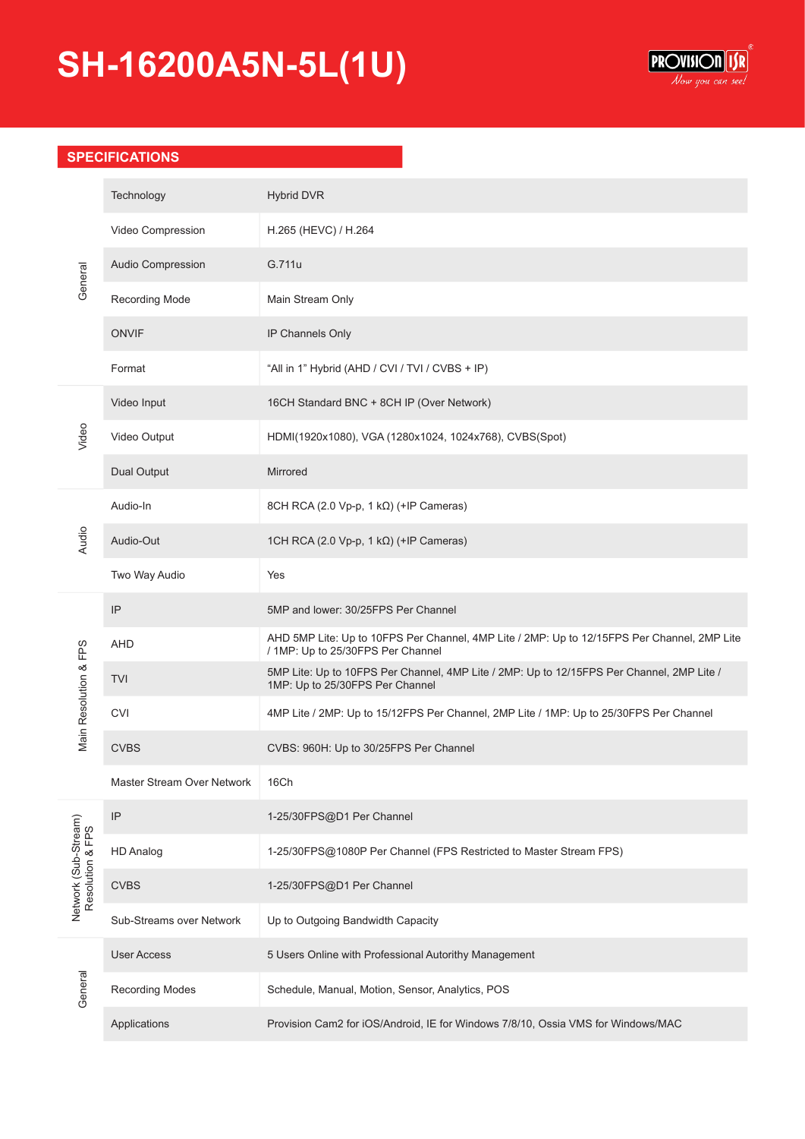# **SH-16200A5N-5L(1U)**



#### **SPECIFICATIONS**

| General                                  | Technology                 | <b>Hybrid DVR</b>                                                                                                                |
|------------------------------------------|----------------------------|----------------------------------------------------------------------------------------------------------------------------------|
|                                          | Video Compression          | H.265 (HEVC) / H.264                                                                                                             |
|                                          | Audio Compression          | G.711u                                                                                                                           |
|                                          | <b>Recording Mode</b>      | Main Stream Only                                                                                                                 |
|                                          | <b>ONVIF</b>               | IP Channels Only                                                                                                                 |
|                                          | Format                     | "All in 1" Hybrid (AHD / CVI / TVI / CVBS + IP)                                                                                  |
| Video                                    | Video Input                | 16CH Standard BNC + 8CH IP (Over Network)                                                                                        |
|                                          | Video Output               | HDMI(1920x1080), VGA (1280x1024, 1024x768), CVBS(Spot)                                                                           |
|                                          | <b>Dual Output</b>         | Mirrored                                                                                                                         |
| Audio                                    | Audio-In                   | 8CH RCA (2.0 Vp-p, 1 k $\Omega$ ) (+IP Cameras)                                                                                  |
|                                          | Audio-Out                  | 1CH RCA (2.0 Vp-p, 1 k $\Omega$ ) (+IP Cameras)                                                                                  |
|                                          | Two Way Audio              | Yes                                                                                                                              |
| Main Resolution & FPS                    | IP                         | 5MP and lower: 30/25FPS Per Channel                                                                                              |
|                                          | <b>AHD</b>                 | AHD 5MP Lite: Up to 10FPS Per Channel, 4MP Lite / 2MP: Up to 12/15FPS Per Channel, 2MP Lite<br>/ 1MP: Up to 25/30FPS Per Channel |
|                                          | <b>TVI</b>                 | 5MP Lite: Up to 10FPS Per Channel, 4MP Lite / 2MP: Up to 12/15FPS Per Channel, 2MP Lite /<br>1MP: Up to 25/30FPS Per Channel     |
|                                          | <b>CVI</b>                 | 4MP Lite / 2MP: Up to 15/12FPS Per Channel, 2MP Lite / 1MP: Up to 25/30FPS Per Channel                                           |
|                                          | <b>CVBS</b>                | CVBS: 960H: Up to 30/25FPS Per Channel                                                                                           |
|                                          | Master Stream Over Network | 16Ch                                                                                                                             |
| Network (Sub-Stream)<br>Resolution & FPS | IP                         | 1-25/30FPS@D1 Per Channel                                                                                                        |
|                                          | <b>HD Analog</b>           | 1-25/30FPS@1080P Per Channel (FPS Restricted to Master Stream FPS)                                                               |
|                                          | <b>CVBS</b>                | 1-25/30FPS@D1 Per Channel                                                                                                        |
|                                          | Sub-Streams over Network   | Up to Outgoing Bandwidth Capacity                                                                                                |
| General                                  | <b>User Access</b>         | 5 Users Online with Professional Autorithy Management                                                                            |
|                                          | <b>Recording Modes</b>     | Schedule, Manual, Motion, Sensor, Analytics, POS                                                                                 |
|                                          | Applications               | Provision Cam2 for iOS/Android, IE for Windows 7/8/10, Ossia VMS for Windows/MAC                                                 |